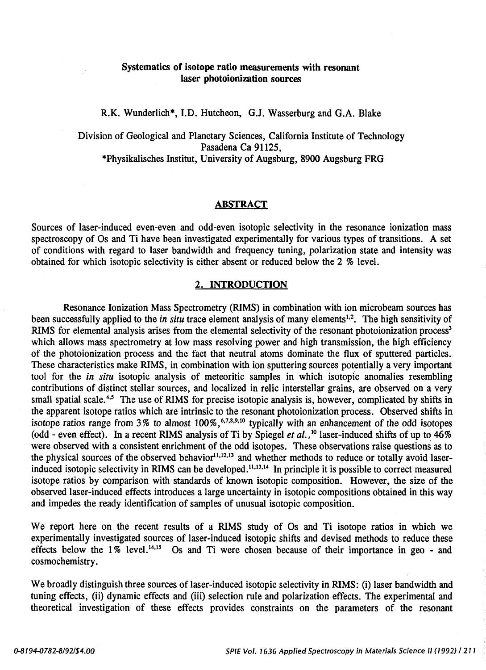# Systematics of isotope ratio measurements with resonant laser photoionization sources

R.K. Wunderlich\*, I.D. Hutcheon, G.J. Wasserburg and G.A. Blake

Division of Geological and Planetary Sciences, California Institute of Technology Pasadena Ca 91125, \*Physikalisches Institut, University of Augsburg, 8900 Augsburg FRG

#### ABSTRACT

Sources of laser-induced even-even and odd-even isotopic selectivity in the resonance ionization mass spectroscopy of Os and Ti have been investigated experimentally for various types of transitions. A set of conditions with regard to laser bandwidth and frequency tuning, polarization state and intensity was obtained for which isotopic selectivity is either absent or reduced below the 2 % level.

### 2. INTRODUCTION

Resonance Ionization Mass Spectrometry (RIMS) in combination with ion microbeam sources has been successfully applied to the *in situ* trace element analysis of many elements<sup>1,2</sup>. The high sensitivity of RIMS for elemental analysis arises from the elemental selectivity of the resonant photoionization process<sup>3</sup> which allows mass spectrometry at low mass resolving power and high transmission, the high efficiency of the photoionization process and the fact that neutral atoms dominate the flux of sputtered particles. These characteristics make RIMS, in combination with ion sputtering sources potentially a very important tool for the *in situ* isotopic analysis of meteoritic samples in which isotopic anomalies resembling contributions of distinct stellar sources, and localized in relic interstellar grains, are observed on a very small spatial scale.<sup>4,5</sup> The use of RIMS for precise isotopic analysis is, however, complicated by shifts in the apparent isotope ratios which are intrinsic to the resonant photoionization process. Observed shifts in isotope ratios range from  $3\%$  to almost  $100\%$ ,  $6.78,9.10$  typically with an enhancement of the odd isotopes (odd - even effect). In a recent RIMS analysis of Ti by Spiegel *et al.,* 10 laser-induced shifts of up to 46% were observed with a consistent enrichment of the odd isotopes. These observations raise questions as to the physical sources of the observed behavior $11,12,13$  and whether methods to reduce or totally avoid laserinduced isotopic selectivity in RIMS can be developed.<sup>11,13,14</sup> In principle it is possible to correct measured isotope ratios by comparison with standards of known isotopic composition. However, the size of the observed laser-induced effects introduces a large uncertainty in isotopic compositions obtained in this way and impedes the ready identification of samples of unusual isotopic composition.

We report here on the recent results of a RIMS study of Os and Ti isotope ratios in which we experimentally investigated sources of laser-induced isotopic shifts and devised methods to reduce these effects below the  $1\%$  level.<sup>14,15</sup> Os and Ti were chosen because of their importance in geo - and cosmochemistry.

We broadly distinguish three sources of laser-induced isotopic selectivity in RIMS: (i) laser bandwidth and tuning effects, (ii) dynamic effects and (iii) selection rule and polarization effects. The experimental and theoretical investigation of these effects provides constraints on the parameters of the resonant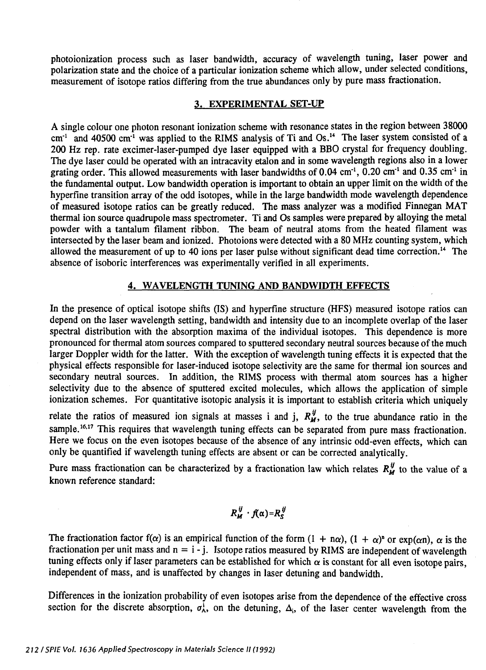photoionization process such as laser bandwidth, accuracy of wavelength tuning, laser power and polarization state and the choice of a particular ionization scheme which allow, under selected conditions, measurement of isotope ratios differing from the true abundances only by pure mass fractionation.

### 3. EXPERIMENTAL SET-UP

A single colour one photon resonant ionization scheme with resonance states in the region between 38000  $cm<sup>-1</sup>$  and 40500  $cm<sup>-1</sup>$  was applied to the RIMS analysis of Ti and Os.<sup>14</sup> The laser system consisted of a 200Hz rep. rate excimer-laser-pumped dye laser equipped with a BBO crystal for frequency doubling. The dye laser could be operated with an intracavity etalon and in some wavelength regions also in a lower grating order. This allowed measurements with laser bandwidths of 0.04  $cm^{-1}$ , 0.20  $cm^{-1}$  and 0.35  $cm^{-1}$  in the fundamental output. Low bandwidth operation is important to obtain an upper limit on the width of the hyperfine transition array of the odd isotopes, while in the large bandwidth mode wavelength dependence of measured isotope ratios can be greatly reduced. The mass analyzer was a modified Finnegan MAT thermal ion source quadrupole mass spectrometer. Ti and Os samples were prepared by alloying the metal powder with a tantalum filament ribbon. The beam of neutral atoms from the heated filament was intersected by the laser beam and ionized. Photoions were detected with a 80 MHz counting system, which allowed the measurement of up to 40 ions per laser pulse without significant dead time correction.<sup>14</sup> The absence of isoboric interferences was experimentally verified in all experiments.

### 4. WAVELENGTH TUNING AND BANDWIDTH EFFECTS

In the presence of optical isotope shifts (IS) and hyperfine structure (HFS) measured isotope ratios can depend on the laser wavelength setting, bandwidth and intensity due to an incomplete overlap of the laser spectral distribution with the absorption maxima of the individual isotopes. This dependence is more pronounced for thermal atom sources compared to sputtered secondary neutral sources because of the much larger Doppler width for the latter. With the exception of wavelength tuning effects it is expected that the physical effects responsible for laser-induced isotope selectivity are the same for thermal ion sources and secondary neutral sources. In addition, the RIMS process with thermal atom sources has a higher selectivity due to the absence of sputtered excited molecules, which allows the application of simple ionization schemes. For quantitative isotopic analysis it is important to establish criteria which uniquely

relate the ratios of measured ion signals at masses i and j,  $R_M^{ij}$ , to the true abundance ratio in the sample.<sup>16,17</sup> This requires that wavelength tuning effects can be separated from pure mass fractionation. Here we focus on the even isotopes because of the absence of any intrinsic odd-even effects, which can only be quantified if wavelength tuning effects are absent or can be corrected analytically.

Pure mass fractionation can be characterized by a fractionation law which relates  $R_M^{ij}$  to the value of a known reference standard:

$$
R_M^{ij} \cdot f(\alpha) = R_S^{ij}
$$

The fractionation factor  $f(\alpha)$  is an empirical function of the form  $(1 + n\alpha)$ ,  $(1 + \alpha)^n$  or  $\exp(\alpha n)$ ,  $\alpha$  is the fractionation per unit mass and  $n = i - j$ . Isotope ratios measured by RIMS are independent of wavelength tuning effects only if laser parameters can be established for which  $\alpha$  is constant for all even isotope pairs, independent of mass, and is unaffected by changes in laser detuning and bandwidth.

Differences in the ionization probability of even isotopes arise from the dependence of the effective cross section for the discrete absorption,  $\sigma_A^i$ , on the detuning,  $\Delta_i$ , of the laser center wavelength from the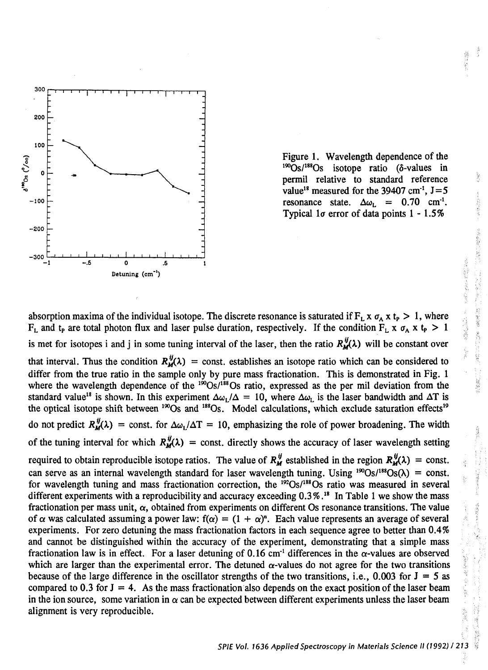

Figure 1. Wavelength dependence of the  $1\frac{\omega}{\text{Os}}$ / $1\frac{\text{ss}}{\text{Os}}$  isotope ratio ( $\delta$ -values in permil relative to standard reference value<sup>18</sup> measured for the 39407 cm<sup>-1</sup>,  $J=5$ resonance state.  $\Delta \omega_L = 0.70 \text{ cm}^{-1}$ . Typical 1 $\sigma$  error of data points 1 - 1.5%

absorption maxima of the individual isotope. The discrete resonance is saturated if  $F_L x \sigma_A x t_P > 1$ , where  $F_L$  and t<sub>p</sub> are total photon flux and laser pulse duration, respectively. If the condition  $F_L x \sigma_A x t_P > 1$ is met for isotopes i and j in some tuning interval of the laser, then the ratio  $R_M^{ij}(\lambda)$  will be constant over that interval. Thus the condition  $R_M^{ij}(\lambda)$  = const. establishes an isotope ratio which can be considered to differ from the true ratio in the sample only by pure mass fractionation. This is demonstrated in Fig. 1 where the wavelength dependence of the  $1^{50}$ Os/ $1^{188}$ Os ratio, expressed as the per mil deviation from the standard value<sup>18</sup> is shown. In this experiment  $\Delta \omega_L/\Delta = 10$ , where  $\Delta \omega_L$  is the laser bandwidth and  $\Delta T$  is the optical isotope shift between  $190$ <sub>Os</sub> and  $188$ <sub>Os</sub>. Model calculations, which exclude saturation effects<sup>19</sup> do not predict  $R_M^{ij}(\lambda)$  = const. for  $\Delta \omega_1/\Delta T = 10$ , emphasizing the role of power broadening. The width of the tuning interval for which  $R_{\mu}^{\prime\prime}(\lambda)$  = const. directly shows the accuracy of laser wavelength setting required to obtain reproducible isotope ratios. The value of  $R_M^{ij}$  established in the region  $R_M^{ij}(\lambda) = \text{const.}$ can serve as an internal wavelength standard for laser wavelength tuning. Using <sup>190</sup>Os/<sup>188</sup>Os( $\lambda$ ) = const. for wavelength tuning and mass fractionation correction, the  $192$ Os/ $188$ Os ratio was measured in several different experiments with a reproducibility and accuracy exceeding 0.3%.<sup>18</sup> In Table 1 we show the mass fractionation per mass unit,  $\alpha$ , obtained from experiments on different Os resonance transitions. The value of  $\alpha$  was calculated assuming a power law:  $f(\alpha) = (1 + \alpha)^n$ . Each value represents an average of several experiments. For zero detuning the mass fractionation factors in each sequence agree to better than 0.4% and cannot be distinguished within the accuracy of the experiment, demonstrating that a simple mass fractionation law is in effect. For a laser detuning of 0.16 cm<sup>-1</sup> differences in the  $\alpha$ -values are observed which are larger than the experimental error. The detuned  $\alpha$ -values do not agree for the two transitions because of the large difference in the oscillator strengths of the two transitions, i.e., 0.003 for J = *5* as compared to 0.3 for  $J = 4$ . As the mass fractionation also depends on the exact position of the laser beam in the ion source, some variation in  $\alpha$  can be expected between different experiments unless the laser beam alignment is very reproducible.

もあることに、村間の東京でのスページ構成のなかった。

计数据库 金河里 计数据

1、2012年12期47年

医神经炎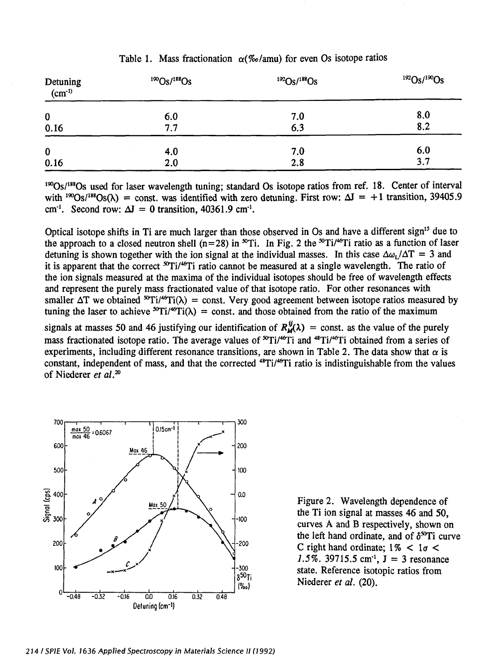| Detuning<br>$(cm-1)$ | $190$ Os/ $188$ Os | $192$ Os/ $188$ Os | $^{192}Os/{}^{190}Os$ |
|----------------------|--------------------|--------------------|-----------------------|
| 0                    | 6.0                | 7.0                | 8.0                   |
| 0.16                 | 7.7                | 6.3                | 8.2                   |
| 0                    | 4.0                | 7.0                | 6.0                   |
| 0.16                 | 2.0                | 2.8                | 3.7                   |

# Table 1. Mass fractionation  $\alpha$ (%/amu) for even Os isotope ratios

<sup>190</sup>Os/<sup>188</sup>Os used for laser wavelength tuning; standard Os isotope ratios from ref. 18. Center of interval with <sup>190</sup>Os/<sup>188</sup>Os( $\lambda$ ) = const. was identified with zero detuning. First row:  $\Delta J = +1$  transition, 39405.9 cm<sup>-1</sup>. Second row:  $\Delta J = 0$  transition, 40361.9 cm<sup>-1</sup>.

Optical isotope shifts in Ti are much larger than those observed in Os and have a different sign<sup>15</sup> due to the approach to a closed neutron shell (n=28) in  ${}^{50}Ti$ . In Fig. 2 the  ${}^{50}Ti/{}^{46}Ti$  ratio as a function of laser detuning is shown together with the ion signal at the individual masses. In this case  $\Delta\omega_i/\Delta T = 3$  and it is apparent that the correct  $^{50}$ Ti<sup>46</sup>Ti ratio cannot be measured at a single wavelength. The ratio of the ion signals measured at the maxima of the individual isotopes should be free of wavelength effects and represent the purely mass fractionated value of that isotope ratio. For other resonances with smaller  $\Delta T$  we obtained  ${}^{\text{sv}}\text{Ti}/{}^{\text{sv}}\text{Ti}(\lambda)$  = const. Very good agreement between isotope ratios measured by tuning the laser to achieve  ${}^{50}T_i/{}^{46}T_i(\lambda)$  = const. and those obtained from the ratio of the maximum signals at masses 50 and 46 justifying our identification of  $R_M^{ij}(\lambda)$  = const. as the value of the purely mass fractionated isotope ratio. The average values of  ${}^{56}$ Ti/<sup>46</sup>Ti and  ${}^{48}$ Ti/<sup>46</sup>Ti obtained from a series of

experiments, including different resonance transitions, are shown in Table 2. The data show that  $\alpha$  is constant, independent of mass, and that the corrected <sup>48</sup>Ti/<sup>46</sup>Ti ratio is indistinguishable from the values of Niederer *et al.* <sup>20</sup>



Figure 2. Wavelength dependence of the Ti ion signal at masses 46 and 50, curves A and B respectively, shown on the left hand ordinate, and of  $\delta^{50}$ Ti curve C right hand ordinate;  $1\%$  <  $1\sigma$  < 1.5%.  $39715.5$  cm<sup>-1</sup>,  $J = 3$  resonance state. Reference isotopic ratios from Niederer *et al.* (20).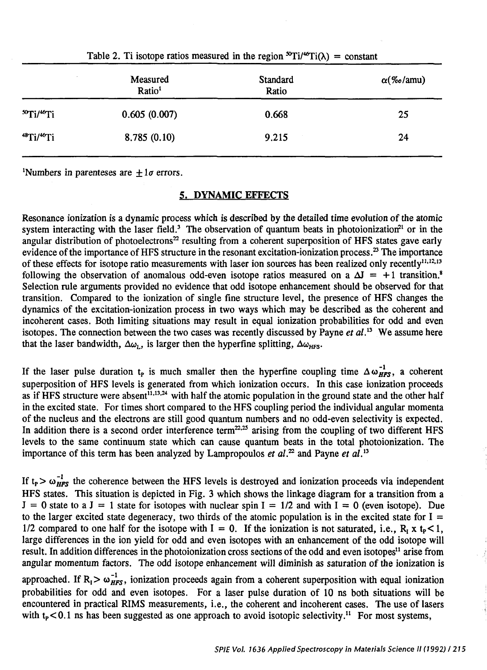| Measured<br>Ratio <sup>1</sup> | Standard<br>Ratio | $\alpha$ (‰/amu) |
|--------------------------------|-------------------|------------------|
| 0.605(0.007)                   | 0.668             | 25               |
| 8.785(0.10)                    | 9.215             | 24               |
|                                |                   |                  |

Table 2. Ti isotope ratios measured in the region  ${}^{\infty}T i/{}^{\infty}T i(\lambda) =$  constant

<sup>1</sup>Numbers in parenteses are  $\pm 1\sigma$  errors.

### 5. DYNAMIC EFFECTS

Resonance ionization is a dynamic process which is described by the detailed time evolution of the atomic system interacting with the laser field.<sup>3</sup> The observation of quantum beats in photoionization<sup>21</sup> or in the angular distribution of photoelectrons<sup>22</sup> resulting from a coherent superposition of HFS states gave early evidence of the importance of HFS structure in the resonant excitation-ionization process.<sup>23</sup> The importance of these effects for isotope ratio measurements with laser ion sources has been realized only recently<sup>11,12,13</sup> following the observation of anomalous odd-even isotope ratios measured on a  $\Delta I = +1$  transition.<sup>8</sup> Selection rule arguments provided no evidence that odd isotope enhancement should be observed for that transition. Compared to the ionization of single fine structure level, the presence of HFS changes the dynamics of the excitation-ionization process in two ways which may be described as the coherent and incoherent cases. Both limiting situations may result in equal ionization probabilities for odd and even isotopes. The connection between the two cases was recently discussed by Payne *et al.*<sup>13</sup> We assume here that the laser bandwidth,  $\Delta \omega_{1}$ , is larger then the hyperfine splitting,  $\Delta \omega_{\text{HFS}}$ .

If the laser pulse duration  $t_p$  is much smaller then the hyperfine coupling time  $\Delta \omega_{HFS}^{-1}$ , a coherent superposition of HFS levels is generated from which ionization occurs. In this case ionization proceeds as if HFS structure were absent<sup>11,13,24</sup> with half the atomic population in the ground state and the other half in the excited state. For times short compared to the HFS coupling period the individual angular momenta of the nucleus and the electrons are still good quantum numbers and no odd-even selectivity is expected. In addition there is a second order interference term<sup>22,25</sup> arising from the coupling of two different HFS levels to the same continuum state which can cause quantum beats in the total photoionization. The importance of this term has been analyzed by Lampropoulos *et al.*<sup>22</sup> and Payne *et al.*<sup>13</sup>

If  $t_P > \omega_{HFS}^{-1}$  the coherence between the HFS levels is destroyed and ionization proceeds via independent HFS states. This situation is depicted in Fig. 3 which shows the linkage diagram for a transition from a  $J = 0$  state to a  $J = 1$  state for isotopes with nuclear spin  $I = 1/2$  and with  $I = 0$  (even isotope). Due to the larger excited state degeneracy, two thirds of the atomic population is in the excited state for  $I =$ 1/2 compared to one half for the isotope with I = 0. If the ionization is not saturated, i.e.,  $R_1 \times I_2 < 1$ , large differences in the ion yield for odd and even isotopes with an enhancement of the odd isotope will result. In addition differences in the photoionization cross sections of the odd and even isotopes<sup>11</sup> arise from angular momentum factors. The odd isotope enhancement will diminish as saturation of the ionization is approached. If  $R_1 > \omega_{HFS}^{-1}$ , ionization proceeds again from a coherent superposition with equal ionization probabilities for odd and even isotopes. For a laser pulse duration of 10 ns both situations will be encountered in practical RIMS measurements, i.e., the coherent and incoherent cases. The use of lasers with  $t_P < 0.1$  ns has been suggested as one approach to avoid isotopic selectivity.<sup>11</sup> For most systems,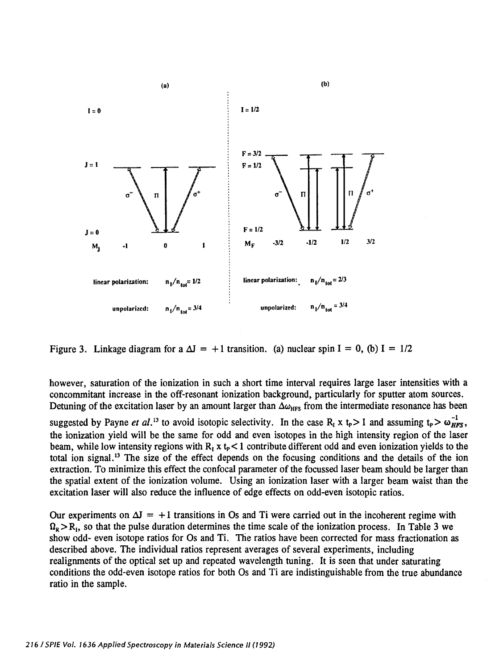

Figure 3. Linkage diagram for a  $\Delta J = +1$  transition. (a) nuclear spin I = 0, (b) I = 1/2

however, saturation of the ionization in such a short time interval requires large laser intensities with a concommitant increase in the off-resonant ionization background, particularly for sputter atom sources. Detuning of the excitation laser by an amount larger than  $\Delta\omega_{\text{HFS}}$  from the intermediate resonance has been

suggested by Payne *et al.*<sup>13</sup> to avoid isotopic selectivity. In the case R<sub>1</sub> x t<sub>p</sub> > 1 and assuming t<sub>p</sub> >  $\omega_{HFS}^{-1}$ , the ionization yield will be the same for odd and even isotopes in the high intensity region of the laser beam, while low intensity regions with  $R_1 \times t_p < 1$  contribute different odd and even ionization yields to the total ion signal. 13 The size of the effect depends on the focusing conditions and the details of the ion extraction. To minimize this effect the confocal parameter of the focussed laser beam should be larger than the spatial extent of the ionization volume. Using an ionization laser with a larger beam waist than the excitation laser will also reduce the influence of edge effects on odd-even isotopic ratios.

Our experiments on  $\Delta I = +1$  transitions in Os and Ti were carried out in the incoherent regime with  $\Omega_{\rm p} > R_{\rm t}$ , so that the pulse duration determines the time scale of the ionization process. In Table 3 we show odd- even isotope ratios for Os and Ti. The ratios have been corrected for mass fractionation as described above. The individual ratios represent averages of several experiments, including realignments of the optical set up and repeated wavelength tuning. It is seen that under saturating conditions the odd-even isotope ratios for both Os and Ti are indistinguishable from the true abundance ratio in the sample.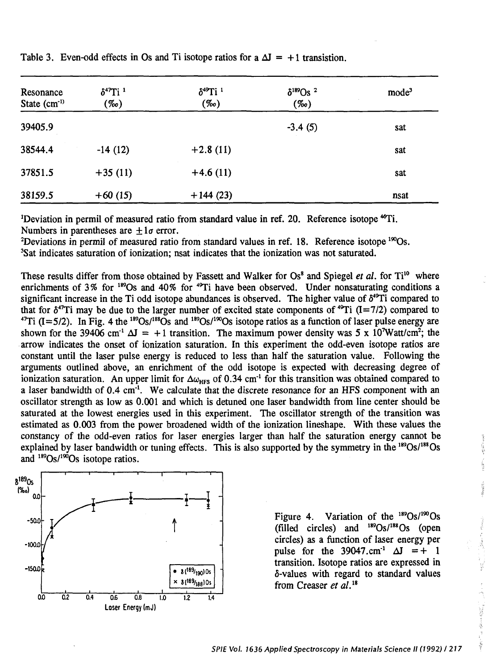| Resonance<br>State (cm <sup>-1)</sup> | $\delta^{47}$ Ti <sup>1</sup><br>(‰) | $\delta^{49}$ Ti <sup>1</sup><br>$(\%o)$ | $\delta^{189}$ Os <sup>2</sup><br>$(\%o)$ | mode <sup>3</sup> |  |
|---------------------------------------|--------------------------------------|------------------------------------------|-------------------------------------------|-------------------|--|
| 39405.9                               |                                      |                                          | $-3.4(5)$                                 | sat               |  |
| 38544.4                               | $-14(12)$                            | $+2.8(11)$                               |                                           | sat               |  |
| 37851.5                               | $+35(11)$                            | $+4.6(11)$                               |                                           | sat               |  |
| 38159.5                               | $+60(15)$                            | $+144(23)$                               |                                           | nsat              |  |

Table 3. Even-odd effects in Os and Ti isotope ratios for a  $\Delta J = +1$  transistion.

<sup>1</sup>Deviation in permil of measured ratio from standard value in ref. 20. Reference isotope <sup>46</sup>Ti. Numbers in parentheses are  $\pm 1\sigma$  error.

<sup>2</sup>Deviations in permil of measured ratio from standard values in ref. 18. Reference isotope  $1\%$ Os. <sup>3</sup>Sat indicates saturation of ionization; nsat indicates that the ionization was not saturated.

These results differ from those obtained by Fassett and Walker for Os<sup>8</sup> and Spiegel *et al.* for Ti<sup>10</sup> where enrichments of 3% for <sup>189</sup>Os and 40% for <sup>49</sup>Ti have been observed. Under nonsaturating conditions a significant increase in the Ti odd isotope abundances is observed. The higher value of  $\delta^{49}$ Ti compared to that for  $\delta^{47}$ Ti may be due to the larger number of excited state components of  $^{49}$ Ti (I=7/2) compared to  $^{47}$ Ti (I=5/2). In Fig. 4 the  $^{189}$ Os/<sup>188</sup>Os and  $^{189}$ Os/<sup>199</sup>Os isotone ratios as a function of laser <sup>7</sup>Ti (I=5/2). In Fig. 4 the <sup>189</sup>Os/<sup>188</sup>Os and <sup>189</sup>Os/<sup>190</sup>Os isotope ratios as a function of laser pulse energy are shown for the 39406 cm<sup>-1</sup>  $\Delta J = +1$  transition. The maximum power density was 5 x 10<sup>7</sup>Watt/cm<sup>2</sup>; the . arrow indicates the onset of ionization saturation. In this experiment the odd-even isotope ratios are constant until the laser pulse energy is reduced to less than half the saturation value. Following the arguments outlined above, an enrichment of the odd isotope is expected with decreasing degree of ionization saturation. An upper limit for  $\Delta\omega_{\text{HFS}}$  of 0.34 cm<sup>-1</sup> for this transition was obtained compared to a laser bandwidth of 0.4 cm<sup>-1</sup>. We calculate that the discrete resonance for an HFS component with an oscillator strength as low as 0.001 and which is detuned one laser bandwidth from line center should be saturated at the lowest energies used in this experiment. The oscillator strength of the transition was estimated as 0.003 from the power broadened width of the ionization lineshape. With these values the constancy of the odd-even ratios for laser energies larger than half the saturation energy cannot be explained by laser bandwidth or tuning effects. This is also supported by the symmetry in the  $189\text{Os}/188\text{Os}$ and  $189$ Os/ $190$ Os isotope ratios.



Figure 4. Variation of the  $189$ Os/ $190$ Os (filled circles) and  $^{189}Os/^{188}Os$  (open circles) as a function of laser energy per pulse for the  $39047 \text{ cm}^{-1}$   $\Delta J = + 1$ transition. Isotope ratios are expressed in a-values with regard to standard values from Creaser *et a/. <sup>18</sup>*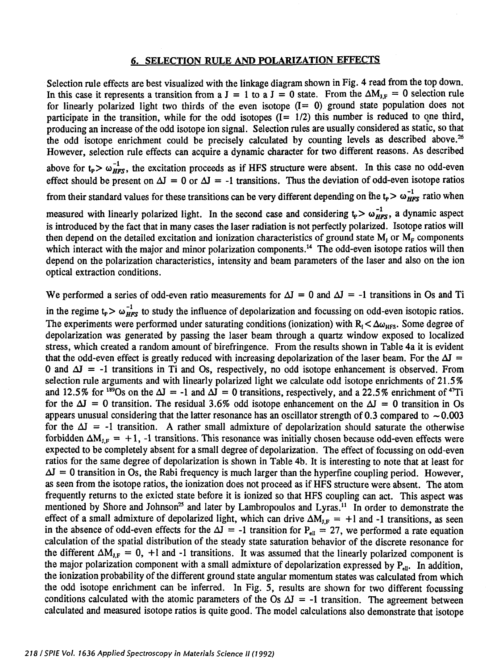# SELECTION RULE AND POLARIZATION EFFECTS

Selection rule effects are best visualized with the linkage diagram shown in Fig. 4 read from the top down. In this case it represents a transition from a J = 1 to a J = 0 state. From the  $\Delta M_{1,F} = 0$  selection rule for linearly polarized light two thirds of the even isotope  $(I= 0)$  ground state population does not participate in the transition, while for the odd isotopes  $(I = 1/2)$  this number is reduced to one third, producing an increase of the odd isotope ion signal. Selection rules are usually considered as static, so that the odd isotope enrichment could be precisely calculated by counting levels as described above.<sup>26</sup> However, selection rule effects can acquire a dynamic character for two different reasons. As described

above for  $t_P > \omega_{HFS}^{-1}$ , the excitation proceeds as if HFS structure were absent. In this case no odd-even effect should be present on  $\Delta I = 0$  or  $\Delta I = -1$  transitions. Thus the deviation of odd-even isotope ratios

from their standard values for these transitions can be very different depending on the  $t_P > \omega_{HFS}^{-1}$  ratio when

measured with linearly polarized light. In the second case and considering  $t_P > \omega_{HFS}^{-1}$ , a dynamic aspect is introduced by the fact that in many cases the laser radiation is not perfectly polarized. Isotope ratios will then depend on the detailed excitation and ionization characteristics of ground state  $M_I$  or  $M_F$  components which interact with the major and minor polarization components.<sup>14</sup> The odd-even isotope ratios will then depend on the polarization characteristics, intensity and beam parameters of the laser and also on the ion optical extraction conditions.

We performed a series of odd-even ratio measurements for  $\Delta J = 0$  and  $\Delta J = -1$  transitions in Os and Ti

in the regime  $t_P > \omega_{HFS}^{-1}$  to study the influence of depolarization and focussing on odd-even isotopic ratios. The experiments were performed under saturating conditions (ionization) with  $R_1 < \Delta\omega_{\text{HFS}}$ . Some degree of depolarization was generated by passing the laser beam through a quartz window exposed to localized stress, which created a random amount of birefringence. From the results shown in Table 4a it is evident that the odd-even effect is greatly reduced with increasing depolarization of the laser beam. For the  $\Delta I$  = 0 and  $\Delta J = -1$  transitions in Ti and Os, respectively, no odd isotope enhancement is observed. From selection rule arguments and with linearly polarized light we calculate odd isotope enrichments of 21.5% and 12.5% for <sup>189</sup>Os on the  $\Delta J = -1$  and  $\Delta J = 0$  transitions, respectively, and a 22.5% enrichment of <sup>47</sup>Ti for the  $\Delta I = 0$  transition. The residual 3.6% odd isotope enhancement on the  $\Delta I = 0$  transition in Os appears unusual considering that the latter resonance has an oscillator strength of 0.3 compared to  $\sim 0.003$ for the  $\Delta I = -1$  transition. A rather small admixture of depolarization should saturate the otherwise forbidden  $\Delta M_{LF} = +1$ , -1 transitions. This resonance was initially chosen because odd-even effects were expected to be completely absent for a small degree of depolarization. The effect of focussing on odd-even ratios for the same degree of depolarization is shown in Table 4b. It is interesting to note that at least for  $\Delta I = 0$  transition in Os, the Rabi frequency is much larger than the hyperfine coupling period. However, as seen from the isotope ratios, the ionization does not proceed as if HFS structure were absent. The atom frequently returns to the exicted state before it is ionized so that HFS coupling can act. This aspect was mentioned by Shore and Johnson<sup>25</sup> and later by Lambropoulos and Lyras.<sup>11</sup> In order to demonstrate the effect of a small admixture of depolarized light, which can drive  $\Delta M_{IF} = +1$  and -1 transitions, as seen in the absence of odd-even effects for the  $\Delta I = -1$  transition for P<sub>ell</sub> = 27, we performed a rate equation calculation of the spatial distribution of the steady state saturation behavior of the discrete resonance for the different  $\Delta M_{1,F} = 0$ , +1 and -1 transitions. It was assumed that the linearly polarized component is the major polarization component with a small admixture of depolarization expressed by  $P_{ell}$ . In addition, the ionization probability of the different ground state angular momentum states was calculated from which the odd isotope enrichment can be inferred. In Fig. *5,* results are shown for two different focussing conditions calculated with the atomic parameters of the Os  $\Delta I = -1$  transition. The agreement between calculated and measured isotope ratios is quite good. The model calculations also demonstrate that isotope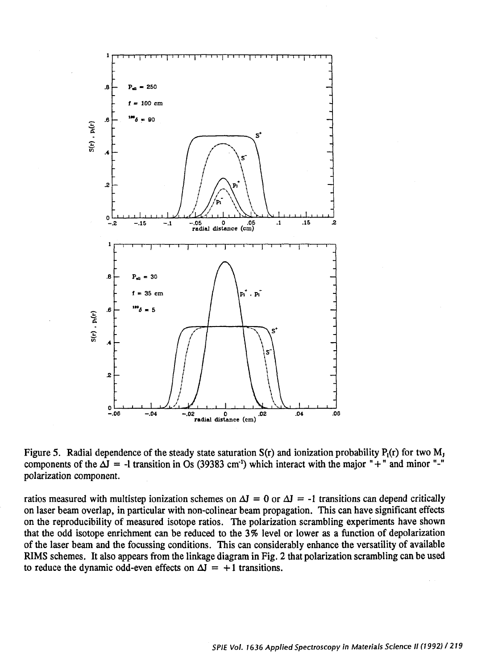

Figure 5. Radial dependence of the steady state saturation  $S(r)$  and ionization probability  $P_1(r)$  for two  $M_1$ components of the  $\Delta J = -1$  transition in Os (39383 cm<sup>-1</sup>) which interact with the major "+" and minor "-" polarization component.

ratios measured with multistep ionization schemes on  $\Delta J = 0$  or  $\Delta J = -1$  transitions can depend critically on laser beam overlap, in particular with non-colinear beam propagation. This can have significant effects on the reproducibility of measured isotope ratios. The polarization scrambling experiments have shown that the odd isotope enrichment can be reduced to the 3% level or lower as a function of depolarization of the laser beam and the focussing conditions. This can considerably enhance the versatility of available RIMS schemes. It also appears from the linkage diagram in Fig. 2 that polarization scrambling can be used to reduce the dynamic odd-even effects on  $\Delta J = +1$  transitions.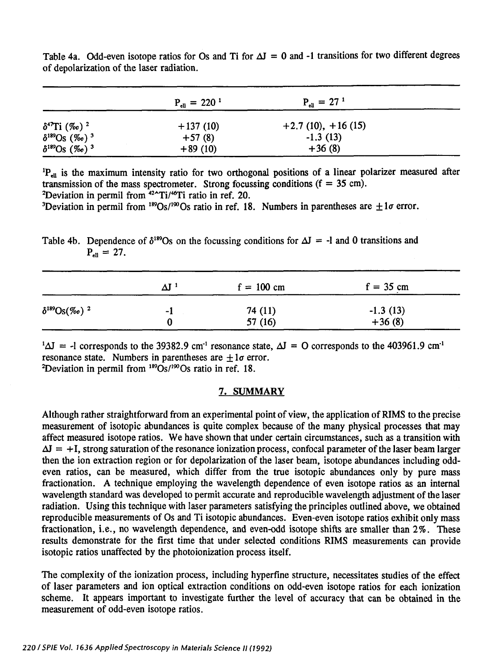|                                         | $P_{\text{ell}} = 220^{-1}$ | $P_{\text{all}} = 27^{1}$ |  |
|-----------------------------------------|-----------------------------|---------------------------|--|
| $\delta^{47}$ Ti (‰) <sup>2</sup>       | $+137(10)$                  | $+2.7(10), +16(15)$       |  |
| $\delta^{189}$ Os (‰) <sup>3</sup>      | $+57(8)$                    | $-1.3(13)$                |  |
| $\delta^{189}$ Os $(\%$ o) <sup>3</sup> | $+89(10)$                   | $+36(8)$                  |  |

Table 4a. Odd-even isotope ratios for Os and Ti for  $\Delta J = 0$  and -1 transitions for two different degrees of depolarization of the laser radiation.

<sup>1</sup>P<sub>ell</sub> is the maximum intensity ratio for two orthogonal positions of a linear polarizer measured after transmission of the mass spectrometer. Strong focussing conditions ( $f = 35$  cm).

<sup>2</sup>Deviation in permil from  $42^{\circ}$ Ti/ $46^{\circ}$ Ti ratio in ref. 20.

<sup>3</sup>Deviation in permil from <sup>189</sup>Os/<sup>190</sup>Os ratio in ref. 18. Numbers in parentheses are  $\pm 1\sigma$  error.

Table 4b. Dependence of  $\delta^{189}$ Os on the focussing conditions for  $\Delta J = -1$  and 0 transitions and  $P_{\text{m}} = 27.$ 

|                             | $\Delta J$ 1 | $f = 100$ cm | $f = 35$ cm |  |
|-----------------------------|--------------|--------------|-------------|--|
| $\delta^{189} Os(\%o)^{-2}$ | -1           | 74 (11)      | $-1.3(13)$  |  |
|                             |              | 57(16)       | $+36(8)$    |  |

 $1\Delta J = -1$  corresponds to the 39382.9 cm<sup>-1</sup> resonance state,  $\Delta J = 0$  corresponds to the 403961.9 cm<sup>-1</sup> resonance state. Numbers in parentheses are  $+1\sigma$  error. <sup>2</sup>Deviation in permil from  $189\text{Os}/190\text{Os}$  ratio in ref. 18.

# 7. SUMMARY

Although rather straightforward from an experimental point of view, the application of RIMS to the precise measurement of isotopic abundances is quite complex because of the many physical processes that may affect measured isotope ratios. We have shown that under certain circumstances, such as a transition with  $\Delta J = +I$ , strong saturation of the resonance ionization process, confocal parameter of the laser beam larger then the ion extraction region or for depolarization of the laser beam, isotope abundances including oddeven ratios, can be measured, which differ from the true isotopic abundances only by pure mass fractionation. A technique employing the wavelength dependence of even isotope ratios as an internal wavelength standard was developed to permit accurate and reproducible wavelength adjustment of the laser radiation. Using this technique with laser parameters satisfying the principles outlined above, we obtained reproducible measurements of Os and Ti isotopic abundances. Even-even isotope ratios exhibit only mass fractionation, i.e., no wavelength dependence, and even-odd isotope shifts are smaller than 2%. These results demonstrate for the first time that under selected conditions RIMS measurements can provide isotopic ratios unaffected by the photoionization process itself.

The complexity of the ionization process, including hyperfine structure, necessitates studies of the effect of laser parameters and ion optical extraction conditions on odd-even isotope ratios for each ionization scheme. It appears important to investigate further the level of accuracy that can be obtained in the measurement of odd-even isotope ratios.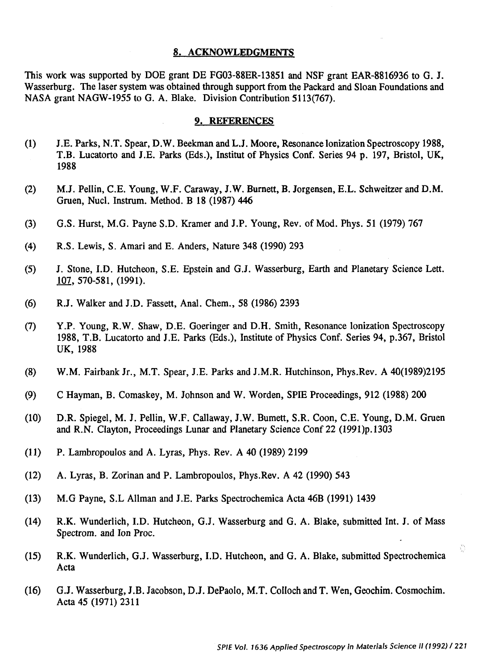#### 8. ACKNOWLEDGMENTS

This work was supported by DOE grant DE FG03-88ER-13851 and NSF grant EAR-8816936 to G. J. Wasserburg. The laser system was obtained through support from the Packard and Sloan Foundations and NASA grant NAGW-1955 to G. A. Blake. Division Contribution 5113(767).

#### 9. REFERENCES

- (1) J .E. Parks, N. T. Spear, D. W. Beekman and L.J. Moore, Resonance Ionization Spectroscopy 1988, T.B. Lucatorto and J.E. Parks (Eds.), Institut of Physics Conf. Series 94 p. 197, Bristol, UK, 1988
- (2) M.J. Pellin, C.E. Young, W.F. Caraway, J.W. Burnett, B. Jorgensen, E.L. Schweitzer and D.M. Gruen, Nucl. lnstrum. Method. B 18 (1987) 446
- (3) G.S. Hurst, M.G. Payne S.D. Kramer and J.P. Young, Rev. of Mod. Phys. 51 (1979) 767
- (4) R.S. Lewis, S. Amari and E. Anders, Nature 348 (1990) 293
- (5) J. Stone, I.D. Hutcheon, S.E. Epstein and G.J. Wasserburg, Earth and Planetary Science Lett. 107, 570-581, (1991).
- (6) R.J. Walker and J.D. Fassett, Anal. Chern., 58 (1986) 2393
- (7) Y.P. Young, R.W. Shaw, D.E. Goeringer and D.H. Smith, Resonance Ionization Spectroscopy 1988, T.B. Lucatorto and J .E. Parks (Eds.), Institute of Physics Conf. Series 94, p.367, Bristol UK, 1988
- (8) W.M. Fairbank Jr., M.T. Spear, J.E. Parks and J.M.R. Hutchinson, Phys.Rev. A 40(1989)2195
- (9) C Hayman, B. Comaskey, M. Johnson and W. Worden, SPIE Proceedings, 912 (1988) 200
- (10) D.R. Spiegel, M. J. Pellin, W.F. Callaway, J.W. Burnett, S.R. Coon, C.E. Young, D.M. Gruen and R.N. Clayton, Proceedings Lunar and Planetary Science Conf 22 (1991)p.1303
- (11) P. Lambropoulos and A. Lyras, Phys. Rev. A 40 (1989) 2199
- (12) A. Lyras, B. Zorinan and P. Lambropoulos, Phys.Rev. A 42 (1990) 543
- (13) M.G Payne, S.L Allman and J.E. Parks Spectrochemica Acta 46B (1991) 1439
- (14) R.K. Wunderlich, I.D. Hutcheon, G.J. Wasserburg and G. A. Blake, submitted Int. J. of Mass Spectrom. and Ion Proc.
- (15) R.K. Wunderlich, G.J. Wasserburg, I.D. Hutcheon, and G. A. Blake, submitted Spectrochemica Acta
- (16) G.J. Wasserburg, J.B. Jacobson, D.J. DePaolo, M.T. Colloch and T. Wen, Geochim. Cosmochim. Acta 45 (1971) 2311

Ŏ